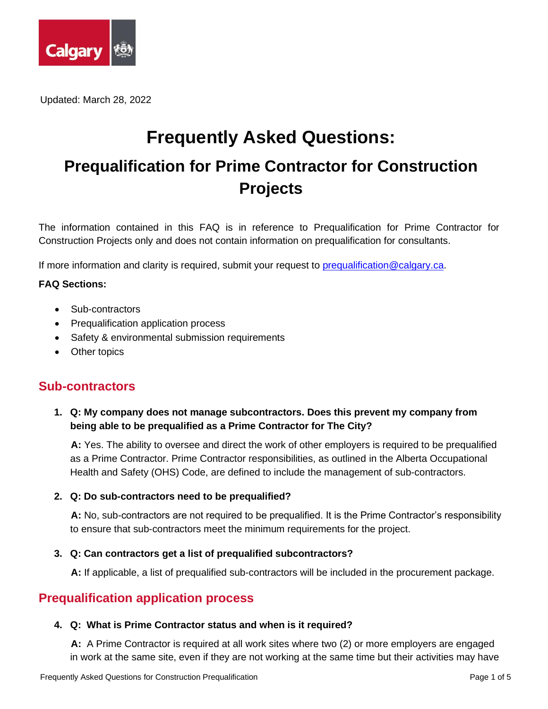

Updated: March 28, 2022

# **Frequently Asked Questions: Prequalification for Prime Contractor for Construction Projects**

The information contained in this FAQ is in reference to Prequalification for Prime Contractor for Construction Projects only and does not contain information on prequalification for consultants.

If more information and clarity is required, submit your request to [prequalification@calgary.ca.](mailto:prequalification@calgary.ca)

### **FAQ Sections:**

- Sub-contractors
- Prequalification application process
- Safety & environmental submission requirements
- Other topics

# **Sub-contractors**

**1. Q: My company does not manage subcontractors. Does this prevent my company from being able to be prequalified as a Prime Contractor for The City?**

**A:** Yes. The ability to oversee and direct the work of other employers is required to be prequalified as a Prime Contractor. Prime Contractor responsibilities, as outlined in the Alberta Occupational Health and Safety (OHS) Code, are defined to include the management of sub-contractors.

### **2. Q: Do sub-contractors need to be prequalified?**

**A:** No, sub-contractors are not required to be prequalified. It is the Prime Contractor's responsibility to ensure that sub-contractors meet the minimum requirements for the project.

### **3. Q: Can contractors get a list of prequalified subcontractors?**

**A:** If applicable, a list of prequalified sub-contractors will be included in the procurement package.

# **Prequalification application process**

### **4. Q: What is Prime Contractor status and when is it required?**

**A:** A Prime Contractor is required at all work sites where two (2) or more employers are engaged in work at the same site, even if they are not working at the same time but their activities may have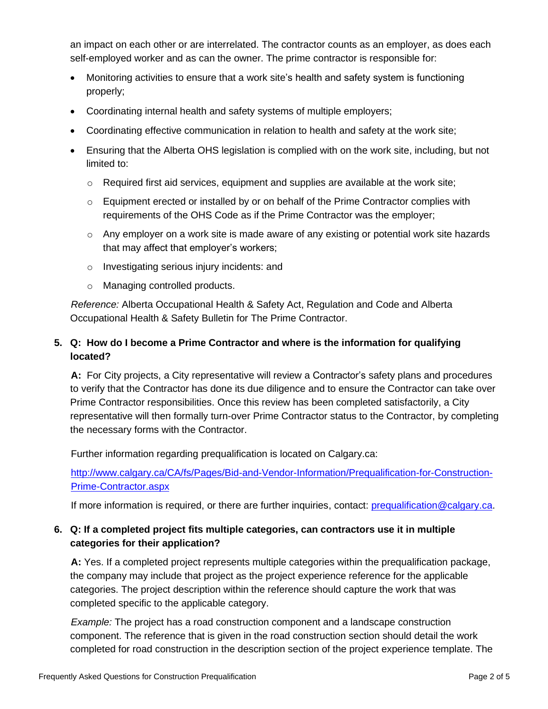an impact on each other or are interrelated. The contractor counts as an employer, as does each self-employed worker and as can the owner. The prime contractor is responsible for:

- Monitoring activities to ensure that a work site's health and safety system is functioning properly;
- Coordinating internal health and safety systems of multiple employers;
- Coordinating effective communication in relation to health and safety at the work site;
- Ensuring that the Alberta OHS legislation is complied with on the work site, including, but not limited to:
	- $\circ$  Required first aid services, equipment and supplies are available at the work site;
	- o Equipment erected or installed by or on behalf of the Prime Contractor complies with requirements of the OHS Code as if the Prime Contractor was the employer;
	- $\circ$  Any employer on a work site is made aware of any existing or potential work site hazards that may affect that employer's workers;
	- o Investigating serious injury incidents: and
	- o Managing controlled products.

*Reference:* Alberta Occupational Health & Safety Act, Regulation and Code and Alberta Occupational Health & Safety Bulletin for The Prime Contractor.

# **5. Q: How do I become a Prime Contractor and where is the information for qualifying located?**

**A:** For City projects, a City representative will review a Contractor's safety plans and procedures to verify that the Contractor has done its due diligence and to ensure the Contractor can take over Prime Contractor responsibilities. Once this review has been completed satisfactorily, a City representative will then formally turn-over Prime Contractor status to the Contractor, by completing the necessary forms with the Contractor.

Further information regarding prequalification is located on Calgary.ca:

[http://www.calgary.ca/CA/fs/Pages/Bid-and-Vendor-Information/Prequalification-for-Construction-](http://www.calgary.ca/CA/fs/Pages/Bid-and-Vendor-Information/Prequalification-for-Construction-Prime-Contractor.aspx)[Prime-Contractor.aspx](http://www.calgary.ca/CA/fs/Pages/Bid-and-Vendor-Information/Prequalification-for-Construction-Prime-Contractor.aspx)

If more information is required, or there are further inquiries, contact: [prequalification@calgary.ca.](mailto:prequalification@calgary.ca)

# **6. Q: If a completed project fits multiple categories, can contractors use it in multiple categories for their application?**

**A:** Yes. If a completed project represents multiple categories within the prequalification package, the company may include that project as the project experience reference for the applicable categories. The project description within the reference should capture the work that was completed specific to the applicable category.

*Example:* The project has a road construction component and a landscape construction component. The reference that is given in the road construction section should detail the work completed for road construction in the description section of the project experience template. The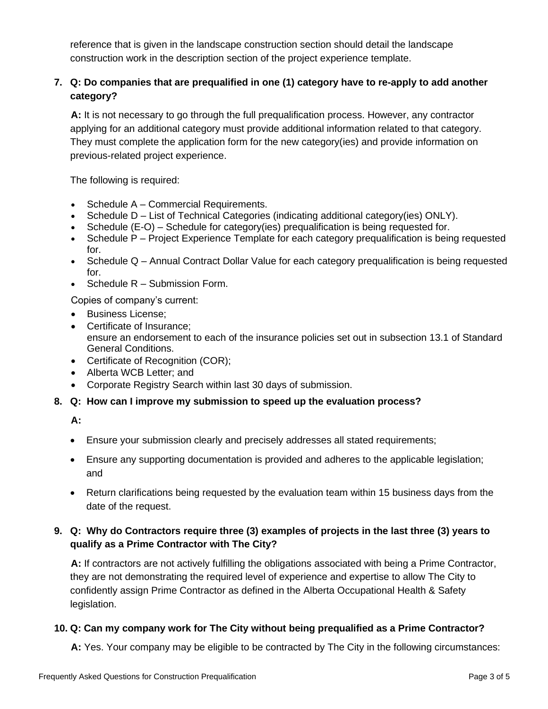reference that is given in the landscape construction section should detail the landscape construction work in the description section of the project experience template.

# **7. Q: Do companies that are prequalified in one (1) category have to re-apply to add another category?**

**A:** It is not necessary to go through the full prequalification process. However, any contractor applying for an additional category must provide additional information related to that category. They must complete the application form for the new category(ies) and provide information on previous-related project experience.

The following is required:

- Schedule A Commercial Requirements.
- Schedule D List of Technical Categories (indicating additional category(ies) ONLY).
- Schedule (E-O) Schedule for category(ies) prequalification is being requested for.
- Schedule P Project Experience Template for each category prequalification is being requested for.
- Schedule Q Annual Contract Dollar Value for each category prequalification is being requested for.
- Schedule R Submission Form.

Copies of company's current:

- Business License;
- Certificate of Insurance; ensure an endorsement to each of the insurance policies set out in subsection 13.1 of Standard General Conditions.
- Certificate of Recognition (COR);
- Alberta WCB Letter; and
- Corporate Registry Search within last 30 days of submission.
- **8. Q: How can I improve my submission to speed up the evaluation process?**

**A:**

- Ensure your submission clearly and precisely addresses all stated requirements;
- Ensure any supporting documentation is provided and adheres to the applicable legislation; and
- Return clarifications being requested by the evaluation team within 15 business days from the date of the request.

### **9. Q: Why do Contractors require three (3) examples of projects in the last three (3) years to qualify as a Prime Contractor with The City?**

**A:** If contractors are not actively fulfilling the obligations associated with being a Prime Contractor, they are not demonstrating the required level of experience and expertise to allow The City to confidently assign Prime Contractor as defined in the Alberta Occupational Health & Safety legislation.

### **10. Q: Can my company work for The City without being prequalified as a Prime Contractor?**

**A:** Yes. Your company may be eligible to be contracted by The City in the following circumstances: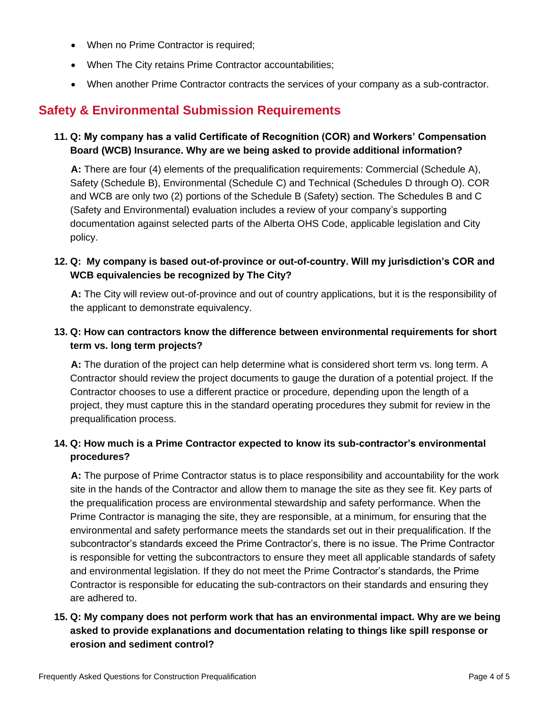- When no Prime Contractor is required;
- When The City retains Prime Contractor accountabilities;
- When another Prime Contractor contracts the services of your company as a sub-contractor.

# **Safety & Environmental Submission Requirements**

# **11. Q: My company has a valid Certificate of Recognition (COR) and Workers' Compensation Board (WCB) Insurance. Why are we being asked to provide additional information?**

**A:** There are four (4) elements of the prequalification requirements: Commercial (Schedule A), Safety (Schedule B), Environmental (Schedule C) and Technical (Schedules D through O). COR and WCB are only two (2) portions of the Schedule B (Safety) section. The Schedules B and C (Safety and Environmental) evaluation includes a review of your company's supporting documentation against selected parts of the Alberta OHS Code, applicable legislation and City policy.

# **12. Q: My company is based out-of-province or out-of-country. Will my jurisdiction's COR and WCB equivalencies be recognized by The City?**

**A:** The City will review out-of-province and out of country applications, but it is the responsibility of the applicant to demonstrate equivalency.

# **13. Q: How can contractors know the difference between environmental requirements for short term vs. long term projects?**

**A:** The duration of the project can help determine what is considered short term vs. long term. A Contractor should review the project documents to gauge the duration of a potential project. If the Contractor chooses to use a different practice or procedure, depending upon the length of a project, they must capture this in the standard operating procedures they submit for review in the prequalification process.

# **14. Q: How much is a Prime Contractor expected to know its sub-contractor's environmental procedures?**

**A:** The purpose of Prime Contractor status is to place responsibility and accountability for the work site in the hands of the Contractor and allow them to manage the site as they see fit. Key parts of the prequalification process are environmental stewardship and safety performance. When the Prime Contractor is managing the site, they are responsible, at a minimum, for ensuring that the environmental and safety performance meets the standards set out in their prequalification. If the subcontractor's standards exceed the Prime Contractor's, there is no issue. The Prime Contractor is responsible for vetting the subcontractors to ensure they meet all applicable standards of safety and environmental legislation. If they do not meet the Prime Contractor's standards, the Prime Contractor is responsible for educating the sub-contractors on their standards and ensuring they are adhered to.

# **15. Q: My company does not perform work that has an environmental impact. Why are we being asked to provide explanations and documentation relating to things like spill response or erosion and sediment control?**